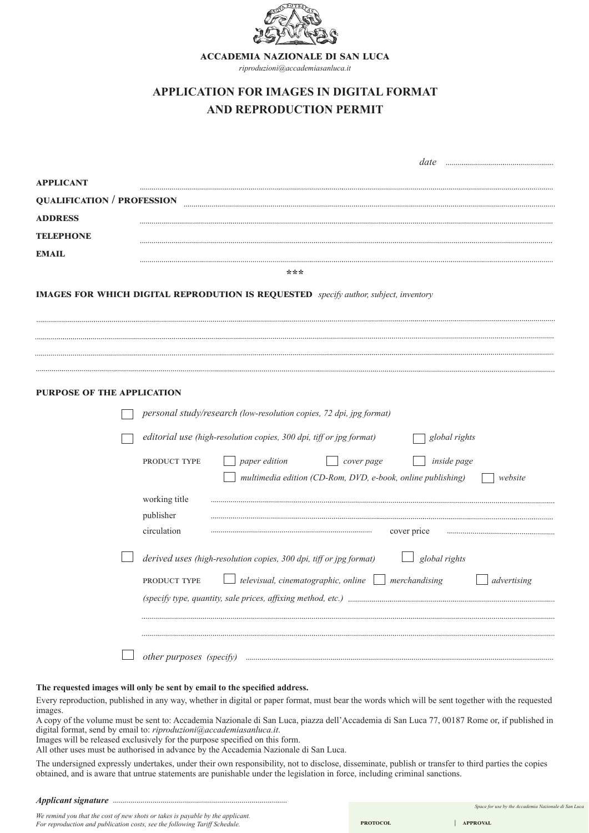

**accademia nazionale di san luca**

*riproduzioni@accademiasanluca.it*

# **APPLICATION FOR IMAGES IN DIGITAL FORMAT AND REPRODUCTION PERMIT**

|                                                                                             | date                                                                                                                                 |  |  |
|---------------------------------------------------------------------------------------------|--------------------------------------------------------------------------------------------------------------------------------------|--|--|
| <b>APPLICANT</b>                                                                            |                                                                                                                                      |  |  |
| <b>QUALIFICATION / PROFESSION</b>                                                           |                                                                                                                                      |  |  |
| <b>ADDRESS</b>                                                                              |                                                                                                                                      |  |  |
| <b>TELEPHONE</b>                                                                            |                                                                                                                                      |  |  |
| <b>EMAIL</b>                                                                                |                                                                                                                                      |  |  |
|                                                                                             | ***                                                                                                                                  |  |  |
| <b>IMAGES FOR WHICH DIGITAL REPRODUTION IS REQUESTED</b> specify author, subject, inventory |                                                                                                                                      |  |  |
|                                                                                             |                                                                                                                                      |  |  |
|                                                                                             |                                                                                                                                      |  |  |
|                                                                                             |                                                                                                                                      |  |  |
| PURPOSE OF THE APPLICATION                                                                  |                                                                                                                                      |  |  |
|                                                                                             | personal study/research (low-resolution copies, 72 dpi, jpg format)                                                                  |  |  |
|                                                                                             | editorial use (high-resolution copies, 300 dpi, tiff or jpg format)<br>global rights                                                 |  |  |
|                                                                                             | paper edition<br>cover page<br>inside page<br>PRODUCT TYPE<br>multimedia edition (CD-Rom, DVD, e-book, online publishing)<br>website |  |  |
|                                                                                             | working title                                                                                                                        |  |  |
|                                                                                             | publisher                                                                                                                            |  |  |
|                                                                                             | circulation<br>cover price                                                                                                           |  |  |
|                                                                                             | global rights<br>derived uses (high-resolution copies, 300 dpi, tiff or jpg format)                                                  |  |  |
|                                                                                             | $\perp$ televisual, cinematographic, online $\Box$ merchandising<br>advertising<br>PRODUCT TYPE                                      |  |  |
|                                                                                             |                                                                                                                                      |  |  |
|                                                                                             |                                                                                                                                      |  |  |
|                                                                                             |                                                                                                                                      |  |  |
|                                                                                             | other purposes (specify)                                                                                                             |  |  |

## **The requested images will only be sent by email to the specified address.**

Every reproduction, published in any way, whether in digital or paper format, must bear the words which will be sent together with the requested images.

A copy of the volume must be sent to: Accademia Nazionale di San Luca, piazza dell'Accademia di San Luca 77, 00187 Rome or, if published in digital format, send by email to: *riproduzioni@accademiasanluca.it*.

Images will be released exclusively for the purpose specified on this form.

All other uses must be authorised in advance by the Accademia Nazionale di San Luca.

The undersigned expressly undertakes, under their own responsibility, not to disclose, disseminate, publish or transfer to third parties the copies obtained, and is aware that untrue statements are punishable under the legislation in force, including criminal sanctions.

#### *Applicant signature*

 *Space for use by the Accademia Nazionale di San Luca*